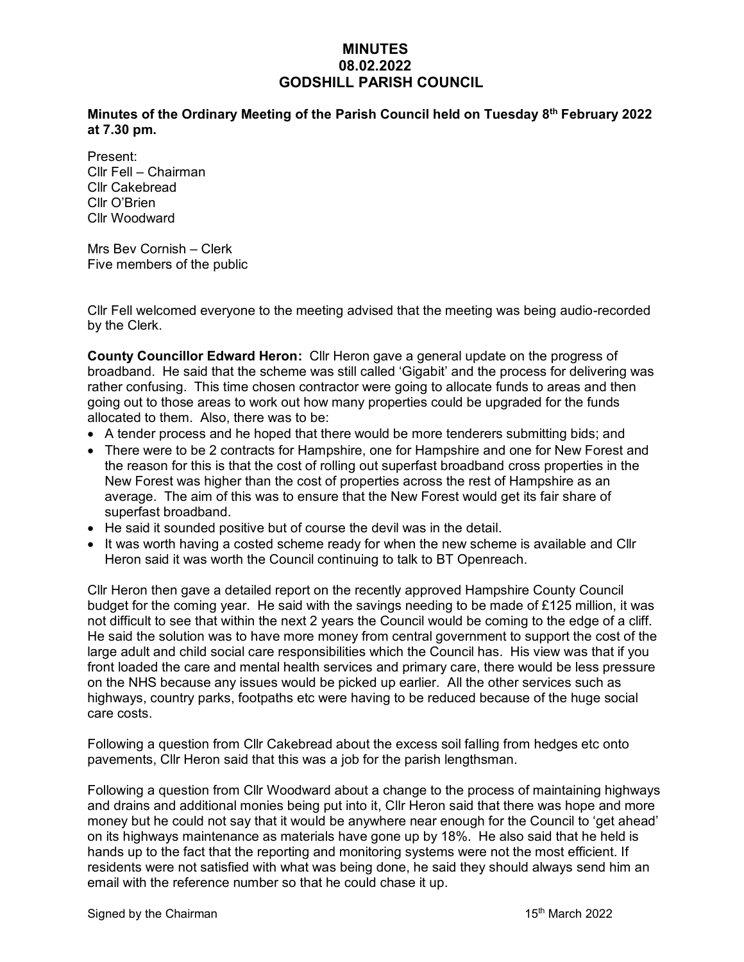## **MINUTES 08.02.2022 GODSHILL PARISH COUNCIL**

**Minutes of the Ordinary Meeting of the Parish Council held on Tuesday 8 th February 2022 at 7.30 pm.** 

Present: Cllr Fell – Chairman Cllr Cakebread Cllr O'Brien Cllr Woodward

Mrs Bev Cornish – Clerk Five members of the public

Cllr Fell welcomed everyone to the meeting advised that the meeting was being audio-recorded by the Clerk.

**County Councillor Edward Heron:** Cllr Heron gave a general update on the progress of broadband. He said that the scheme was still called 'Gigabit' and the process for delivering was rather confusing. This time chosen contractor were going to allocate funds to areas and then going out to those areas to work out how many properties could be upgraded for the funds allocated to them. Also, there was to be:

- A tender process and he hoped that there would be more tenderers submitting bids; and
- There were to be 2 contracts for Hampshire, one for Hampshire and one for New Forest and the reason for this is that the cost of rolling out superfast broadband cross properties in the New Forest was higher than the cost of properties across the rest of Hampshire as an average. The aim of this was to ensure that the New Forest would get its fair share of superfast broadband.
- He said it sounded positive but of course the devil was in the detail.
- It was worth having a costed scheme ready for when the new scheme is available and Cllr Heron said it was worth the Council continuing to talk to BT Openreach.

Cllr Heron then gave a detailed report on the recently approved Hampshire County Council budget for the coming year. He said with the savings needing to be made of £125 million, it was not difficult to see that within the next 2 years the Council would be coming to the edge of a cliff. He said the solution was to have more money from central government to support the cost of the large adult and child social care responsibilities which the Council has. His view was that if you front loaded the care and mental health services and primary care, there would be less pressure on the NHS because any issues would be picked up earlier. All the other services such as highways, country parks, footpaths etc were having to be reduced because of the huge social care costs.

Following a question from Cllr Cakebread about the excess soil falling from hedges etc onto pavements, Cllr Heron said that this was a job for the parish lengthsman.

Following a question from Cllr Woodward about a change to the process of maintaining highways and drains and additional monies being put into it, Cllr Heron said that there was hope and more money but he could not say that it would be anywhere near enough for the Council to 'get ahead' on its highways maintenance as materials have gone up by 18%. He also said that he held is hands up to the fact that the reporting and monitoring systems were not the most efficient. If residents were not satisfied with what was being done, he said they should always send him an email with the reference number so that he could chase it up.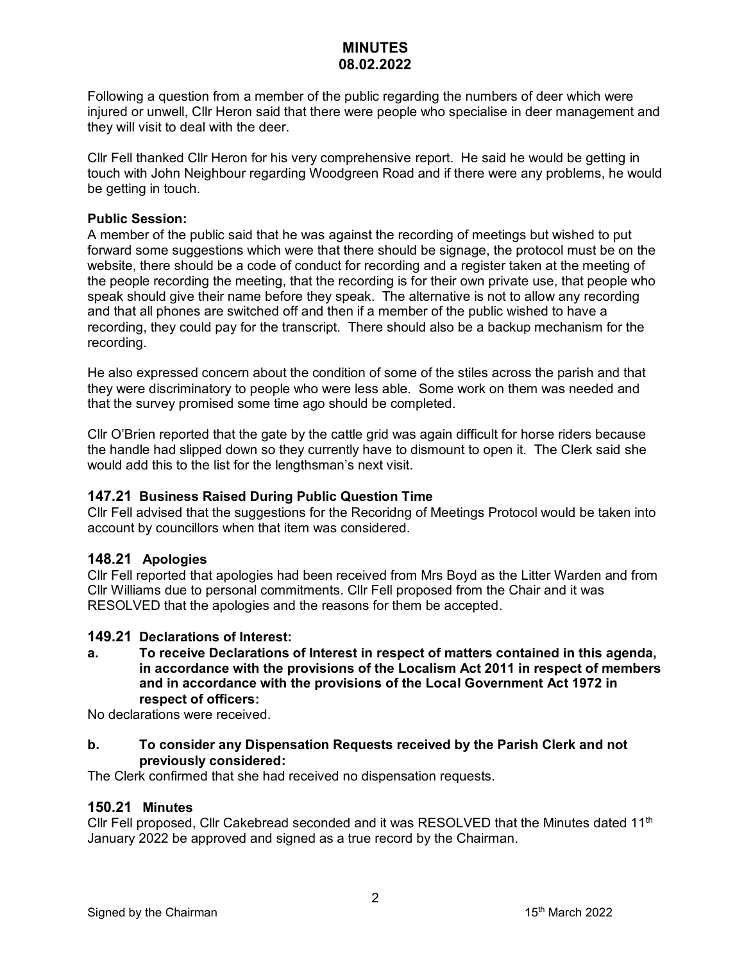Following a question from a member of the public regarding the numbers of deer which were injured or unwell, Cllr Heron said that there were people who specialise in deer management and they will visit to deal with the deer.

Cllr Fell thanked Cllr Heron for his very comprehensive report. He said he would be getting in touch with John Neighbour regarding Woodgreen Road and if there were any problems, he would be getting in touch.

### **Public Session:**

A member of the public said that he was against the recording of meetings but wished to put forward some suggestions which were that there should be signage, the protocol must be on the website, there should be a code of conduct for recording and a register taken at the meeting of the people recording the meeting, that the recording is for their own private use, that people who speak should give their name before they speak. The alternative is not to allow any recording and that all phones are switched off and then if a member of the public wished to have a recording, they could pay for the transcript. There should also be a backup mechanism for the recording.

He also expressed concern about the condition of some of the stiles across the parish and that they were discriminatory to people who were less able. Some work on them was needed and that the survey promised some time ago should be completed.

Cllr O'Brien reported that the gate by the cattle grid was again difficult for horse riders because the handle had slipped down so they currently have to dismount to open it. The Clerk said she would add this to the list for the lengthsman's next visit.

### **147.21 Business Raised During Public Question Time**

Cllr Fell advised that the suggestions for the Recoridng of Meetings Protocol would be taken into account by councillors when that item was considered.

### **148.21 Apologies**

Cllr Fell reported that apologies had been received from Mrs Boyd as the Litter Warden and from Cllr Williams due to personal commitments. Cllr Fell proposed from the Chair and it was RESOLVED that the apologies and the reasons for them be accepted.

### **149.21 Declarations of Interest:**

**a. To receive Declarations of Interest in respect of matters contained in this agenda, in accordance with the provisions of the Localism Act 2011 in respect of members and in accordance with the provisions of the Local Government Act 1972 in respect of officers:**

No declarations were received.

#### **b. To consider any Dispensation Requests received by the Parish Clerk and not previously considered:**

The Clerk confirmed that she had received no dispensation requests.

### **150.21 Minutes**

Cllr Fell proposed, Cllr Cakebread seconded and it was RESOLVED that the Minutes dated 11<sup>th</sup> January 2022 be approved and signed as a true record by the Chairman.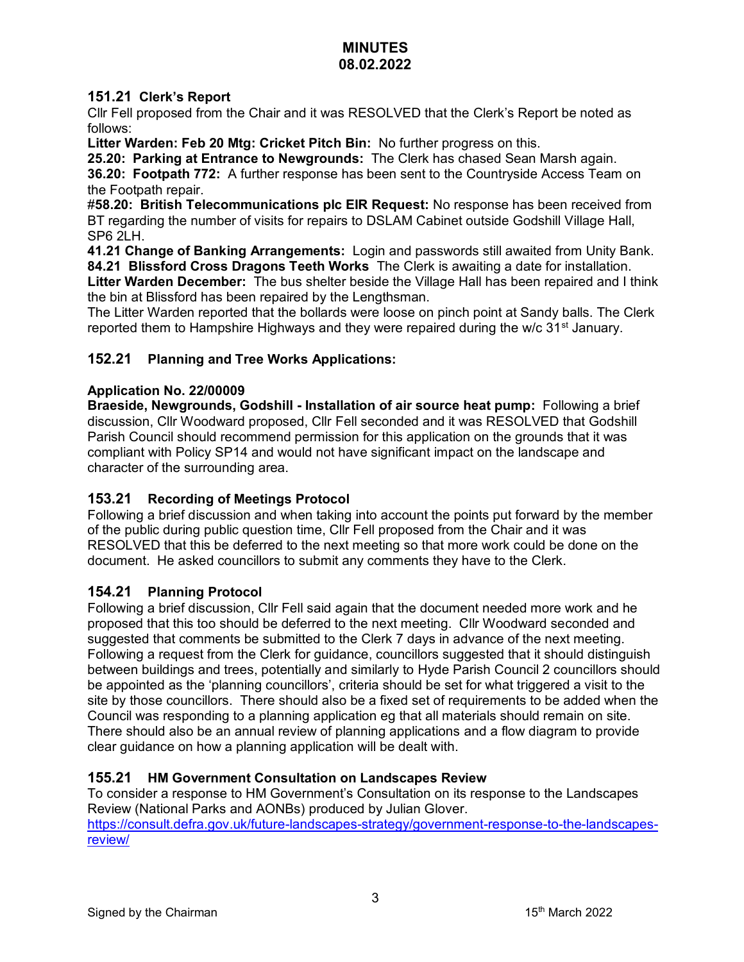## **151.21 Clerk's Report**

Cllr Fell proposed from the Chair and it was RESOLVED that the Clerk's Report be noted as follows:

**Litter Warden: Feb 20 Mtg: Cricket Pitch Bin:** No further progress on this.

**25.20: Parking at Entrance to Newgrounds:** The Clerk has chased Sean Marsh again.

**36.20: Footpath 772:** A further response has been sent to the Countryside Access Team on the Footpath repair.

#**58.20: British Telecommunications plc EIR Request:** No response has been received from BT regarding the number of visits for repairs to DSLAM Cabinet outside Godshill Village Hall, SP6 2LH.

**41.21 Change of Banking Arrangements:** Login and passwords still awaited from Unity Bank. **84.21 Blissford Cross Dragons Teeth Works** The Clerk is awaiting a date for installation.

**Litter Warden December:** The bus shelter beside the Village Hall has been repaired and I think the bin at Blissford has been repaired by the Lengthsman.

The Litter Warden reported that the bollards were loose on pinch point at Sandy balls. The Clerk reported them to Hampshire Highways and they were repaired during the w/c  $31<sup>st</sup>$  January.

## **152.21 Planning and Tree Works Applications:**

### **Application No. 22/00009**

**Braeside, Newgrounds, Godshill - Installation of air source heat pump:** Following a brief discussion, Cllr Woodward proposed, Cllr Fell seconded and it was RESOLVED that Godshill Parish Council should recommend permission for this application on the grounds that it was compliant with Policy SP14 and would not have significant impact on the landscape and character of the surrounding area.

## **153.21 Recording of Meetings Protocol**

Following a brief discussion and when taking into account the points put forward by the member of the public during public question time, Cllr Fell proposed from the Chair and it was RESOLVED that this be deferred to the next meeting so that more work could be done on the document. He asked councillors to submit any comments they have to the Clerk.

## **154.21 Planning Protocol**

Following a brief discussion, Cllr Fell said again that the document needed more work and he proposed that this too should be deferred to the next meeting. Cllr Woodward seconded and suggested that comments be submitted to the Clerk 7 days in advance of the next meeting. Following a request from the Clerk for guidance, councillors suggested that it should distinguish between buildings and trees, potentially and similarly to Hyde Parish Council 2 councillors should be appointed as the 'planning councillors', criteria should be set for what triggered a visit to the site by those councillors. There should also be a fixed set of requirements to be added when the Council was responding to a planning application eg that all materials should remain on site. There should also be an annual review of planning applications and a flow diagram to provide clear guidance on how a planning application will be dealt with.

## **155.21 HM Government Consultation on Landscapes Review**

To consider a response to HM Government's Consultation on its response to the Landscapes Review (National Parks and AONBs) produced by Julian Glover. [https://consult.defra.gov.uk/future-landscapes-strategy/government-response-to-the-landscapes](https://consult.defra.gov.uk/future-landscapes-strategy/government-response-to-the-landscapes-review/)[review/](https://consult.defra.gov.uk/future-landscapes-strategy/government-response-to-the-landscapes-review/)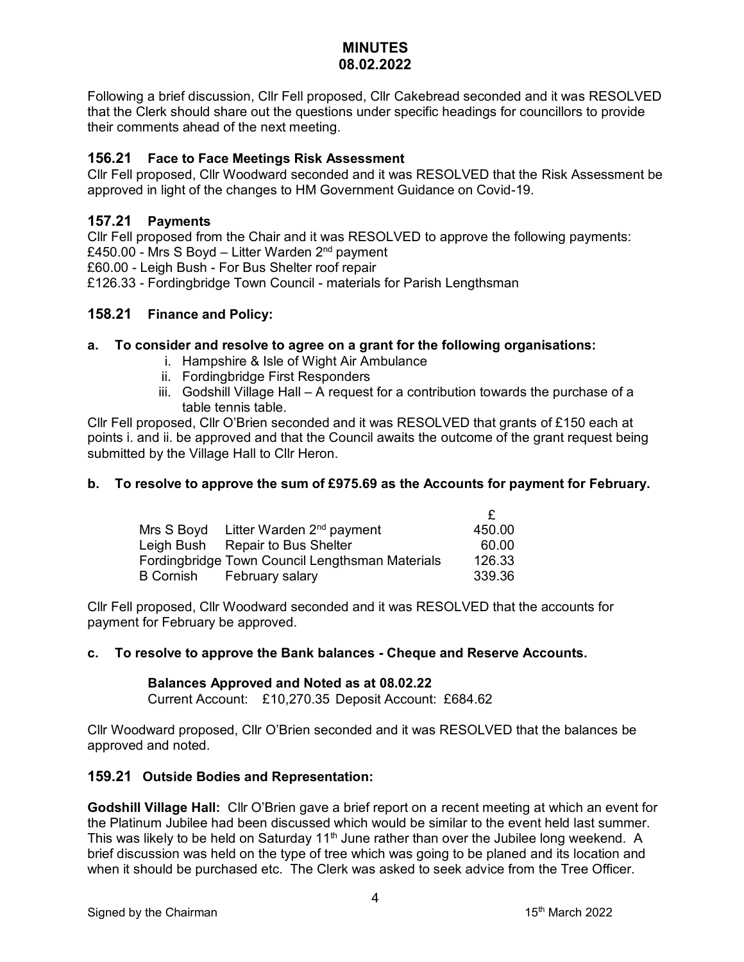Following a brief discussion, Cllr Fell proposed, Cllr Cakebread seconded and it was RESOLVED that the Clerk should share out the questions under specific headings for councillors to provide their comments ahead of the next meeting.

### **156.21 Face to Face Meetings Risk Assessment**

Cllr Fell proposed, Cllr Woodward seconded and it was RESOLVED that the Risk Assessment be approved in light of the changes to HM Government Guidance on Covid-19.

### **157.21 Payments**

Cllr Fell proposed from the Chair and it was RESOLVED to approve the following payments: £450.00 - Mrs S Boyd – Litter Warden  $2<sup>nd</sup>$  payment £60.00 - Leigh Bush - For Bus Shelter roof repair £126.33 - Fordingbridge Town Council - materials for Parish Lengthsman

### **158.21 Finance and Policy:**

### **a. To consider and resolve to agree on a grant for the following organisations:**

- i. Hampshire & Isle of Wight Air Ambulance
- ii. Fordingbridge First Responders
- iii. Godshill Village Hall A request for a contribution towards the purchase of a table tennis table.

Cllr Fell proposed, Cllr O'Brien seconded and it was RESOLVED that grants of £150 each at points i. and ii. be approved and that the Council awaits the outcome of the grant request being submitted by the Village Hall to Cllr Heron.

### **b. To resolve to approve the sum of £975.69 as the Accounts for payment for February.**

| Mrs S Boyd | Litter Warden 2 <sup>nd</sup> payment           | 450.00 |
|------------|-------------------------------------------------|--------|
|            | Leigh Bush Repair to Bus Shelter                | 60.00  |
|            | Fordingbridge Town Council Lengthsman Materials | 126.33 |
| B Cornish  | February salary                                 | 339.36 |

Cllr Fell proposed, Cllr Woodward seconded and it was RESOLVED that the accounts for payment for February be approved.

### **c. To resolve to approve the Bank balances - Cheque and Reserve Accounts.**

### **Balances Approved and Noted as at 08.02.22**

Current Account: £10,270.35 Deposit Account: £684.62

Cllr Woodward proposed, Cllr O'Brien seconded and it was RESOLVED that the balances be approved and noted.

### **159.21 Outside Bodies and Representation:**

**Godshill Village Hall:** Cllr O'Brien gave a brief report on a recent meeting at which an event for the Platinum Jubilee had been discussed which would be similar to the event held last summer. This was likely to be held on Saturday 11<sup>th</sup> June rather than over the Jubilee long weekend. A brief discussion was held on the type of tree which was going to be planed and its location and when it should be purchased etc. The Clerk was asked to seek advice from the Tree Officer.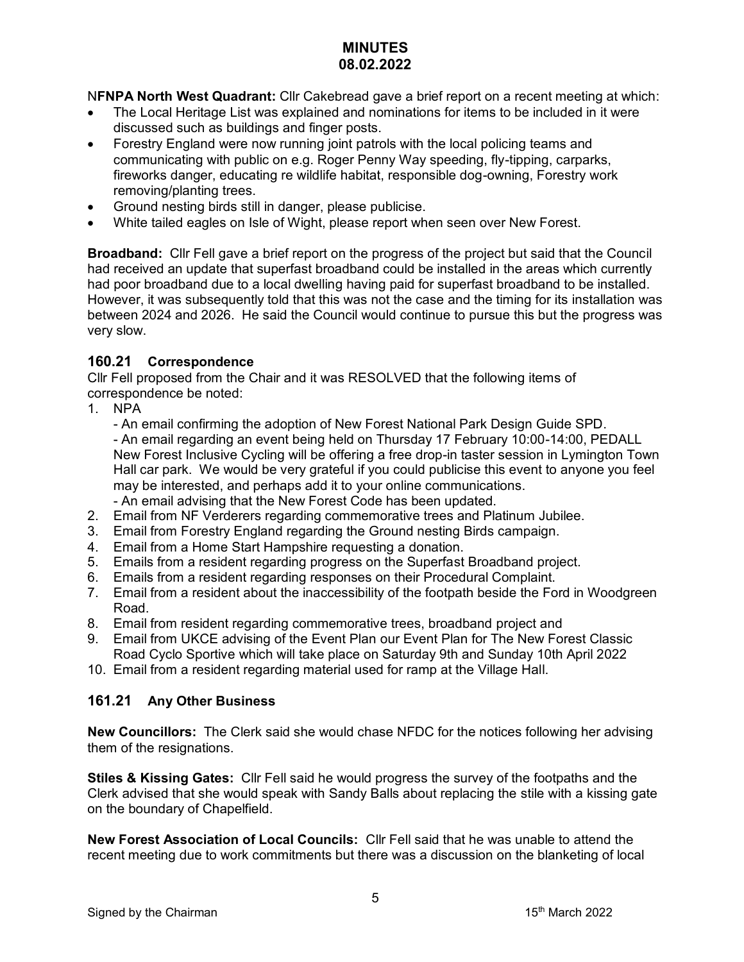N**FNPA North West Quadrant:** Cllr Cakebread gave a brief report on a recent meeting at which:

- The Local Heritage List was explained and nominations for items to be included in it were discussed such as buildings and finger posts.
- Forestry England were now running joint patrols with the local policing teams and communicating with public on e.g. Roger Penny Way speeding, fly-tipping, carparks, fireworks danger, educating re wildlife habitat, responsible dog-owning, Forestry work removing/planting trees.
- Ground nesting birds still in danger, please publicise.
- White tailed eagles on Isle of Wight, please report when seen over New Forest.

**Broadband:** Cllr Fell gave a brief report on the progress of the project but said that the Council had received an update that superfast broadband could be installed in the areas which currently had poor broadband due to a local dwelling having paid for superfast broadband to be installed. However, it was subsequently told that this was not the case and the timing for its installation was between 2024 and 2026. He said the Council would continue to pursue this but the progress was very slow.

## **160.21 Correspondence**

Cllr Fell proposed from the Chair and it was RESOLVED that the following items of correspondence be noted:

1. NPA

- An email confirming the adoption of New Forest National Park Design Guide SPD. - An email regarding an event being held on Thursday 17 February 10:00-14:00, PEDALL New Forest Inclusive Cycling will be offering a free drop-in taster session in Lymington Town Hall car park. We would be very grateful if you could publicise this event to anyone you feel may be interested, and perhaps add it to your online communications. - An email advising that the New Forest Code has been updated.

- 2. Email from NF Verderers regarding commemorative trees and Platinum Jubilee.
- 3. Email from Forestry England regarding the Ground nesting Birds campaign.
- 4. Email from a Home Start Hampshire requesting a donation.
- 5. Emails from a resident regarding progress on the Superfast Broadband project.
- 6. Emails from a resident regarding responses on their Procedural Complaint.
- 7. Email from a resident about the inaccessibility of the footpath beside the Ford in Woodgreen Road.
- 8. Email from resident regarding commemorative trees, broadband project and
- 9. Email from UKCE advising of the Event Plan our Event Plan for The New Forest Classic Road Cyclo Sportive which will take place on Saturday 9th and Sunday 10th April 2022
- 10. Email from a resident regarding material used for ramp at the Village Hall.

## **161.21 Any Other Business**

**New Councillors:** The Clerk said she would chase NFDC for the notices following her advising them of the resignations.

**Stiles & Kissing Gates:** Cllr Fell said he would progress the survey of the footpaths and the Clerk advised that she would speak with Sandy Balls about replacing the stile with a kissing gate on the boundary of Chapelfield.

**New Forest Association of Local Councils:** Cllr Fell said that he was unable to attend the recent meeting due to work commitments but there was a discussion on the blanketing of local